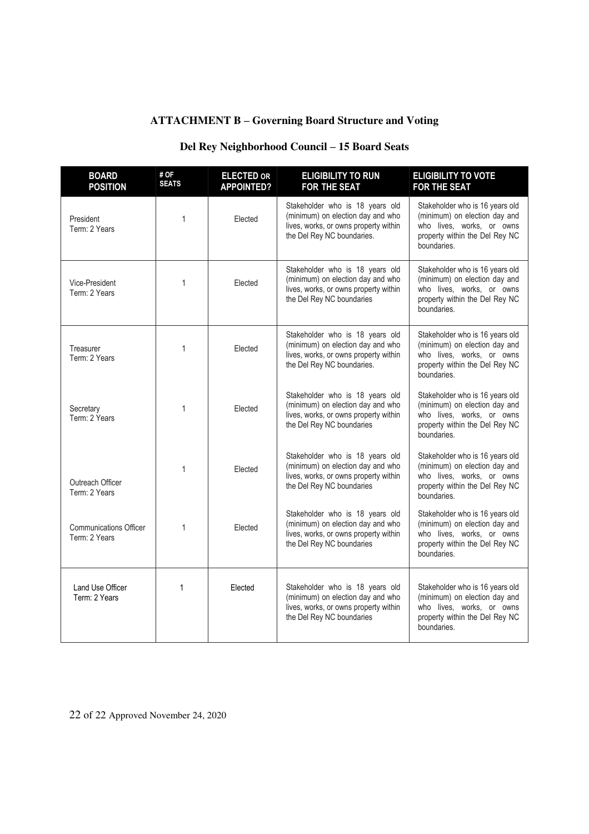## **ATTACHMENT B ± Governing Board Structure and Voting**

## **Del Rey Neighborhood Council ± 15 Board Seats**

| <b>BOARD</b><br><b>POSITION</b>                | # OF<br><b>SEATS</b> | <b>ELECTED OR</b><br><b>APPOINTED?</b> | <b>ELIGIBILITY TO RUN</b><br><b>FOR THE SEAT</b>                                                                                            | <b>ELIGIBILITY TO VOTE</b><br><b>FOR THE SEAT</b>                                                                                              |
|------------------------------------------------|----------------------|----------------------------------------|---------------------------------------------------------------------------------------------------------------------------------------------|------------------------------------------------------------------------------------------------------------------------------------------------|
| President<br>Term: 2 Years                     | 1                    | Elected                                | Stakeholder who is 18 years old<br>(minimum) on election day and who<br>lives, works, or owns property within<br>the Del Rey NC boundaries. | Stakeholder who is 16 years old<br>(minimum) on election day and<br>who lives, works, or owns<br>property within the Del Rey NC<br>boundaries. |
| Vice-President<br>Term: 2 Years                | 1                    | Elected                                | Stakeholder who is 18 years old<br>(minimum) on election day and who<br>lives, works, or owns property within<br>the Del Rey NC boundaries  | Stakeholder who is 16 years old<br>(minimum) on election day and<br>who lives, works, or owns<br>property within the Del Rey NC<br>boundaries. |
| Treasurer<br>Term: 2 Years                     | 1                    | Elected                                | Stakeholder who is 18 years old<br>(minimum) on election day and who<br>lives, works, or owns property within<br>the Del Rey NC boundaries. | Stakeholder who is 16 years old<br>(minimum) on election day and<br>who lives, works, or owns<br>property within the Del Rey NC<br>boundaries. |
| Secretary<br>Term: 2 Years                     | $\mathbf{1}$         | Elected                                | Stakeholder who is 18 years old<br>(minimum) on election day and who<br>lives, works, or owns property within<br>the Del Rey NC boundaries  | Stakeholder who is 16 years old<br>(minimum) on election day and<br>who lives, works, or owns<br>property within the Del Rey NC<br>boundaries. |
| Outreach Officer<br>Term: 2 Years              | 1                    | Elected                                | Stakeholder who is 18 years old<br>(minimum) on election day and who<br>lives, works, or owns property within<br>the Del Rey NC boundaries  | Stakeholder who is 16 years old<br>(minimum) on election day and<br>who lives, works, or owns<br>property within the Del Rey NC<br>boundaries. |
| <b>Communications Officer</b><br>Term: 2 Years | $\mathbf{1}$         | Elected                                | Stakeholder who is 18 years old<br>(minimum) on election day and who<br>lives, works, or owns property within<br>the Del Rey NC boundaries  | Stakeholder who is 16 years old<br>(minimum) on election day and<br>who lives, works, or owns<br>property within the Del Rey NC<br>boundaries. |
| Land Use Officer<br>Term: 2 Years              | $\mathbf{1}$         | Elected                                | Stakeholder who is 18 years old<br>(minimum) on election day and who<br>lives, works, or owns property within<br>the Del Rey NC boundaries  | Stakeholder who is 16 years old<br>(minimum) on election day and<br>who lives, works, or owns<br>property within the Del Rey NC<br>boundaries. |

22 of 22 Approved November 24, 2020